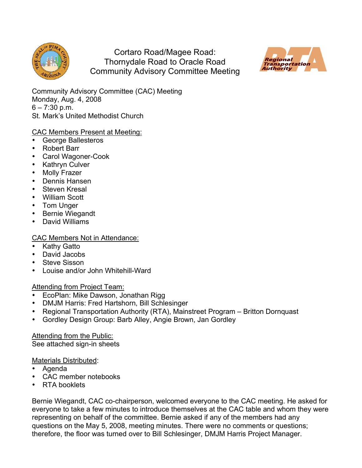

Cortaro Road/Magee Road: Thornydale Road to Oracle Road Community Advisory Committee Meeting



Community Advisory Committee (CAC) Meeting Monday, Aug. 4, 2008  $6 - 7:30$  p.m. St. Mark's United Methodist Church

# CAC Members Present at Meeting:

- George Ballesteros
- Robert Barr
- Carol Wagoner-Cook
- Kathryn Culver
- Molly Frazer
- Dennis Hansen
- Steven Kresal
- William Scott
- Tom Unger
- Bernie Wiegandt
- David Williams

# CAC Members Not in Attendance:

- **Kathy Gatto**
- David Jacobs
- Steve Sisson
- Louise and/or John Whitehill-Ward

# Attending from Project Team:

- EcoPlan: Mike Dawson, Jonathan Rigg
- DMJM Harris: Fred Hartshorn, Bill Schlesinger
- Regional Transportation Authority (RTA), Mainstreet Program Britton Dornquast
- Gordley Design Group: Barb Alley, Angie Brown, Jan Gordley

Attending from the Public: See attached sign-in sheets

#### Materials Distributed:

- Agenda
- CAC member notebooks
- RTA booklets

Bernie Wiegandt, CAC co-chairperson, welcomed everyone to the CAC meeting. He asked for everyone to take a few minutes to introduce themselves at the CAC table and whom they were representing on behalf of the committee. Bernie asked if any of the members had any questions on the May 5, 2008, meeting minutes. There were no comments or questions; therefore, the floor was turned over to Bill Schlesinger, DMJM Harris Project Manager.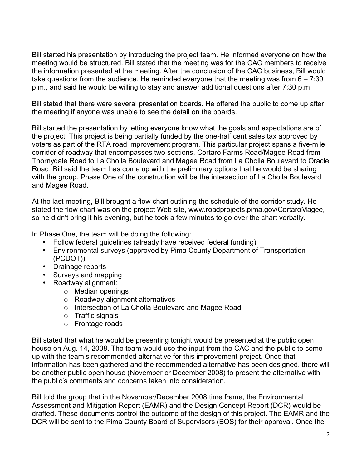Bill started his presentation by introducing the project team. He informed everyone on how the meeting would be structured. Bill stated that the meeting was for the CAC members to receive the information presented at the meeting. After the conclusion of the CAC business, Bill would take questions from the audience. He reminded everyone that the meeting was from  $6 - 7:30$ p.m., and said he would be willing to stay and answer additional questions after 7:30 p.m.

Bill stated that there were several presentation boards. He offered the public to come up after the meeting if anyone was unable to see the detail on the boards.

Bill started the presentation by letting everyone know what the goals and expectations are of the project. This project is being partially funded by the one-half cent sales tax approved by voters as part of the RTA road improvement program. This particular project spans a five-mile corridor of roadway that encompasses two sections, Cortaro Farms Road/Magee Road from Thornydale Road to La Cholla Boulevard and Magee Road from La Cholla Boulevard to Oracle Road. Bill said the team has come up with the preliminary options that he would be sharing with the group. Phase One of the construction will be the intersection of La Cholla Boulevard and Magee Road.

At the last meeting, Bill brought a flow chart outlining the schedule of the corridor study. He stated the flow chart was on the project Web site, www.roadprojects.pima.gov/CortaroMagee, so he didn't bring it his evening, but he took a few minutes to go over the chart verbally.

In Phase One, the team will be doing the following:

- Follow federal guidelines (already have received federal funding)
- Environmental surveys (approved by Pima County Department of Transportation (PCDOT))
- Drainage reports
- Surveys and mapping
- Roadway alignment:
	- $\circ$  Median openings
	- $\circ$  Roadway alignment alternatives
	- $\circ$  Intersection of La Cholla Boulevard and Magee Road
	- $\circ$  Traffic signals
	- Frontage roads

Bill stated that what he would be presenting tonight would be presented at the public open house on Aug. 14, 2008. The team would use the input from the CAC and the public to come up with the team's recommended alternative for this improvement project. Once that information has been gathered and the recommended alternative has been designed, there will be another public open house (November or December 2008) to present the alternative with the public's comments and concerns taken into consideration.

Bill told the group that in the November/December 2008 time frame, the Environmental Assessment and Mitigation Report (EAMR) and the Design Concept Report (DCR) would be drafted. These documents control the outcome of the design of this project. The EAMR and the DCR will be sent to the Pima County Board of Supervisors (BOS) for their approval. Once the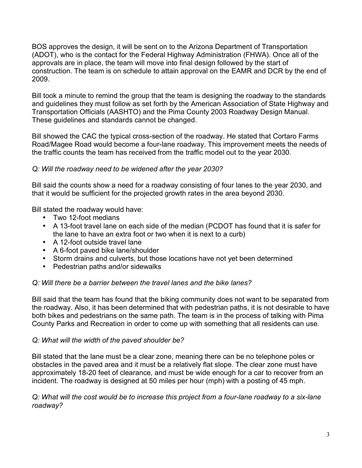BOS approves the design, it will be sent on to the Arizona Department of Transportation (ADOT), who is the contact for the Federal Highway Administration (FHWA). Once all of the approvals are in place, the team will move into final design followed by the start of construction. The team is on schedule to attain approval on the EAMR and DCR by the end of 2009.

Bill took a minute to remind the group that the team is designing the roadway to the standards and guidelines they must follow as set forth by the American Association of State Highway and Transportation Officials (AASHTO) and the Pima County 2003 Roadway Design Manual. These guidelines and standards cannot be changed.

Bill showed the CAC the typical cross-section of the roadway. He stated that Cortaro Farms Road/Magee Road would become a four-lane roadway. This improvement meets the needs of the traffic counts the team has received from the traffic model out to the year 2030.

# *Q: Will the roadway need to be widened after the year 2030?*

Bill said the counts show a need for a roadway consisting of four lanes to the year 2030, and that it would be sufficient for the projected growth rates in the area beyond 2030.

Bill stated the roadway would have:

- Two 12-foot medians
- A 13-foot travel lane on each side of the median (PCDOT has found that it is safer for the lane to have an extra foot or two when it is next to a curb)
- A 12-foot outside travel lane
- A 6-foot paved bike lane/shoulder
- Storm drains and culverts, but those locations have not yet been determined
- Pedestrian paths and/or sidewalks

# *Q: Will there be a barrier between the travel lanes and the bike lanes?*

Bill said that the team has found that the biking community does not want to be separated from the roadway. Also, it has been determined that with pedestrian paths, it is not desirable to have both bikes and pedestrians on the same path. The team is in the process of talking with Pima County Parks and Recreation in order to come up with something that all residents can use.

# *Q: What will the width of the paved shoulder be?*

Bill stated that the lane must be a clear zone, meaning there can be no telephone poles or obstacles in the paved area and it must be a relatively flat slope. The clear zone must have approximately 18-20 feet of clearance, and must be wide enough for a car to recover from an incident. The roadway is designed at 50 miles per hour (mph) with a posting of 45 mph.

## *Q: What will the cost would be to increase this project from a four-lane roadway to a six-lane roadway?*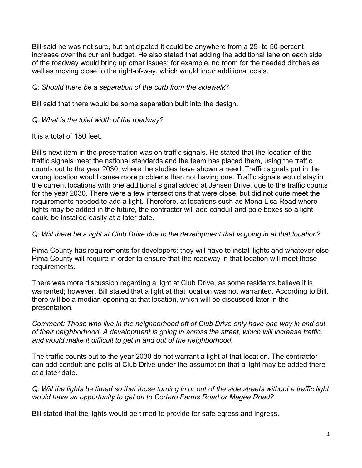Bill said he was not sure, but anticipated it could be anywhere from a 25- to 50-percent increase over the current budget. He also stated that adding the additional lane on each side of the roadway would bring up other issues; for example, no room for the needed ditches as well as moving close to the right-of-way, which would incur additional costs.

## *Q: Should there be a separation of the curb from the sidewalk*?

Bill said that there would be some separation built into the design.

#### *Q: What is the total width of the roadway?*

#### It is a total of 150 feet.

Bill's next item in the presentation was on traffic signals. He stated that the location of the traffic signals meet the national standards and the team has placed them, using the traffic counts out to the year 2030, where the studies have shown a need. Traffic signals put in the wrong location would cause more problems than not having one. Traffic signals would stay in the current locations with one additional signal added at Jensen Drive, due to the traffic counts for the year 2030. There were a few intersections that were close, but did not quite meet the requirements needed to add a light. Therefore, at locations such as Mona Lisa Road where lights may be added in the future, the contractor will add conduit and pole boxes so a light could be installed easily at a later date.

#### Q: Will there be a light at Club Drive due to the development that is going in at that location?

Pima County has requirements for developers; they will have to install lights and whatever else Pima County will require in order to ensure that the roadway in that location will meet those requirements.

There was more discussion regarding a light at Club Drive, as some residents believe it is warranted; however, Bill stated that a light at that location was not warranted. According to Bill, there will be a median opening at that location, which will be discussed later in the presentation.

*Comment: Those who live in the neighborhood off of Club Drive only have one way in and out of their neighborhood. A development is going in across the street, which will increase traffic, and would make it difficult to get in and out of the neighborhood.*

The traffic counts out to the year 2030 do not warrant a light at that location. The contractor can add conduit and polls at Club Drive under the assumption that a light may be added there at a later date.

Q: Will the lights be timed so that those turning in or out of the side streets without a traffic light *would have an opportunity to get on to Cortaro Farms Road or Magee Road?*

Bill stated that the lights would be timed to provide for safe egress and ingress.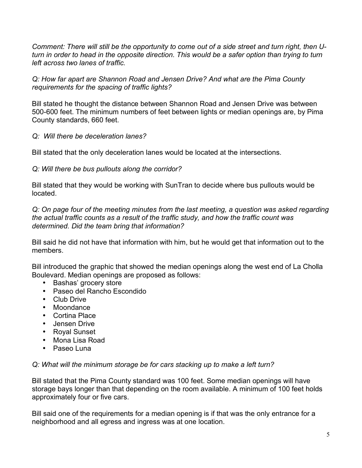*Comment: There will still be the opportunity to come out of a side street and turn right, then Uturn in order to head in the opposite direction. This would be a safer option than trying to turn left across two lanes of traffic.*

*Q: How far apart are Shannon Road and Jensen Drive? And what are the Pima County requirements for the spacing of traffic lights?*

Bill stated he thought the distance between Shannon Road and Jensen Drive was between 500-600 feet. The minimum numbers of feet between lights or median openings are, by Pima County standards, 660 feet.

## *Q: Will there be deceleration lanes?*

Bill stated that the only deceleration lanes would be located at the intersections.

## *Q: Will there be bus pullouts along the corridor?*

Bill stated that they would be working with SunTran to decide where bus pullouts would be located.

*Q: On page four of the meeting minutes from the last meeting, a question was asked regarding the actual traffic counts as a result of the traffic study, and how the traffic count was determined. Did the team bring that information?*

Bill said he did not have that information with him, but he would get that information out to the members.

Bill introduced the graphic that showed the median openings along the west end of La Cholla Boulevard. Median openings are proposed as follows:

- Bashas' grocery store
- Paseo del Rancho Escondido
- Club Drive
- Moondance
- Cortina Place
- Jensen Drive
- Royal Sunset
- Mona Lisa Road
- Paseo Luna

*Q: What will the minimum storage be for cars stacking up to make a left turn?*

Bill stated that the Pima County standard was 100 feet. Some median openings will have storage bays longer than that depending on the room available. A minimum of 100 feet holds approximately four or five cars.

Bill said one of the requirements for a median opening is if that was the only entrance for a neighborhood and all egress and ingress was at one location.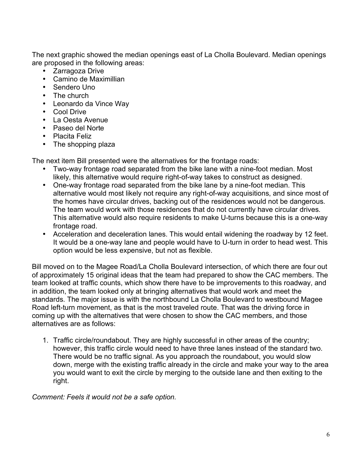The next graphic showed the median openings east of La Cholla Boulevard. Median openings are proposed in the following areas:

- Zarragoza Drive
- Camino de Maximillian
- Sendero Uno
- The church
- Leonardo da Vince Way
- Cool Drive
- La Oesta Avenue
- Paseo del Norte
- Placita Feliz
- The shopping plaza

The next item Bill presented were the alternatives for the frontage roads:

- Two-way frontage road separated from the bike lane with a nine-foot median. Most likely, this alternative would require right-of-way takes to construct as designed.
- One-way frontage road separated from the bike lane by a nine-foot median. This alternative would most likely not require any right-of-way acquisitions, and since most of the homes have circular drives, backing out of the residences would not be dangerous. The team would work with those residences that do not currently have circular drives. This alternative would also require residents to make U-turns because this is a one-way frontage road.
- Acceleration and deceleration lanes. This would entail widening the roadway by 12 feet. It would be a one-way lane and people would have to U-turn in order to head west. This option would be less expensive, but not as flexible.

Bill moved on to the Magee Road/La Cholla Boulevard intersection, of which there are four out of approximately 15 original ideas that the team had prepared to show the CAC members. The team looked at traffic counts, which show there have to be improvements to this roadway, and in addition, the team looked only at bringing alternatives that would work and meet the standards. The major issue is with the northbound La Cholla Boulevard to westbound Magee Road left-turn movement, as that is the most traveled route. That was the driving force in coming up with the alternatives that were chosen to show the CAC members, and those alternatives are as follows:

1. Traffic circle/roundabout. They are highly successful in other areas of the country; however, this traffic circle would need to have three lanes instead of the standard two. There would be no traffic signal. As you approach the roundabout, you would slow down, merge with the existing traffic already in the circle and make your way to the area you would want to exit the circle by merging to the outside lane and then exiting to the right.

*Comment: Feels it would not be a safe option.*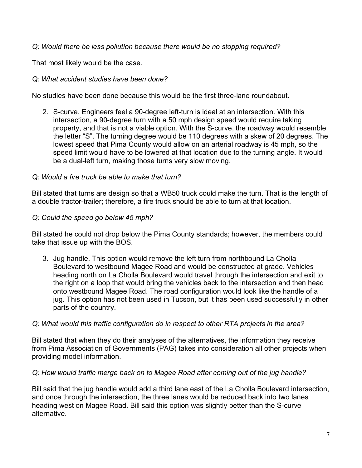*Q: Would there be less pollution because there would be no stopping required?*

That most likely would be the case.

# *Q: What accident studies have been done?*

No studies have been done because this would be the first three-lane roundabout.

2. S-curve. Engineers feel a 90-degree left-turn is ideal at an intersection. With this intersection, a 90-degree turn with a 50 mph design speed would require taking property, and that is not a viable option. With the S-curve, the roadway would resemble the letter "S". The turning degree would be 110 degrees with a skew of 20 degrees. The lowest speed that Pima County would allow on an arterial roadway is 45 mph, so the speed limit would have to be lowered at that location due to the turning angle. It would be a dual-left turn, making those turns very slow moving.

# *Q: Would a fire truck be able to make that turn?*

Bill stated that turns are design so that a WB50 truck could make the turn. That is the length of a double tractor-trailer; therefore, a fire truck should be able to turn at that location.

## *Q: Could the speed go below 45 mph?*

Bill stated he could not drop below the Pima County standards; however, the members could take that issue up with the BOS.

3. Jug handle. This option would remove the left turn from northbound La Cholla Boulevard to westbound Magee Road and would be constructed at grade. Vehicles heading north on La Cholla Boulevard would travel through the intersection and exit to the right on a loop that would bring the vehicles back to the intersection and then head onto westbound Magee Road. The road configuration would look like the handle of a jug. This option has not been used in Tucson, but it has been used successfully in other parts of the country.

# *Q: What would this traffic configuration do in respect to other RTA projects in the area?*

Bill stated that when they do their analyses of the alternatives, the information they receive from Pima Association of Governments (PAG) takes into consideration all other projects when providing model information.

# *Q: How would traffic merge back on to Magee Road after coming out of the jug handle?*

Bill said that the jug handle would add a third lane east of the La Cholla Boulevard intersection, and once through the intersection, the three lanes would be reduced back into two lanes heading west on Magee Road. Bill said this option was slightly better than the S-curve alternative.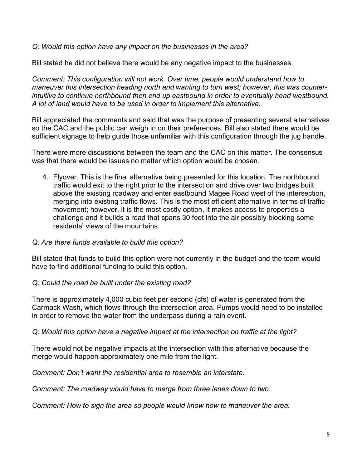*Q: Would this option have any impact on the businesses in the area?*

Bill stated he did not believe there would be any negative impact to the businesses.

*Comment: This configuration will not work. Over time, people would understand how to maneuver this intersection heading north and wanting to turn west; however, this was counterintuitive to continue northbound then end up eastbound in order to eventually head westbound. A lot of land would have to be used in order to implement this alternative.*

Bill appreciated the comments and said that was the purpose of presenting several alternatives so the CAC and the public can weigh in on their preferences. Bill also stated there would be sufficient signage to help guide those unfamiliar with this configuration through the jug handle.

There were more discussions between the team and the CAC on this matter. The consensus was that there would be issues no matter which option would be chosen.

- 4. Flyover. This is the final alternative being presented for this location. The northbound traffic would exit to the right prior to the intersection and drive over two bridges built above the existing roadway and enter eastbound Magee Road west of the intersection, merging into existing traffic flows. This is the most efficient alternative in terms of traffic movement; however, it is the most costly option, it makes access to properties a challenge and it builds a road that spans 30 feet into the air possibly blocking some residents' views of the mountains.
- *Q: Are there funds available to build this option?*

Bill stated that funds to build this option were not currently in the budget and the team would have to find additional funding to build this option.

#### *Q: Could the road be built under the existing road?*

There is approximately 4,000 cubic feet per second (cfs) of water is generated from the Carmack Wash, which flows through the intersection area. Pumps would need to be installed in order to remove the water from the underpass during a rain event.

#### *Q: Would this option have a negative impact at the intersection on traffic at the light?*

There would not be negative impacts at the intersection with this alternative because the merge would happen approximately one mile from the light.

*Comment: Don't want the residential area to resemble an interstate.*

*Comment: The roadway would have to merge from three lanes down to two.*

*Comment: How to sign the area so people would know how to maneuver the area.*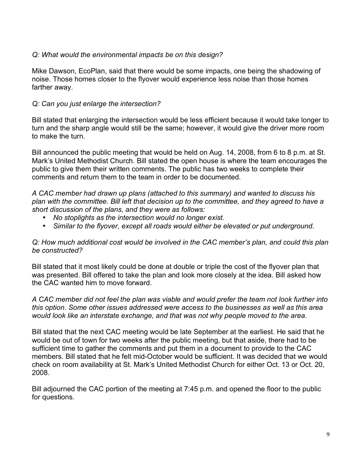## *Q: What would the environmental impacts be on this design?*

Mike Dawson, EcoPlan, said that there would be some impacts, one being the shadowing of noise. Those homes closer to the flyover would experience less noise than those homes farther away.

## *Q: Can you just enlarge the intersection?*

Bill stated that enlarging the intersection would be less efficient because it would take longer to turn and the sharp angle would still be the same; however, it would give the driver more room to make the turn.

Bill announced the public meeting that would be held on Aug. 14, 2008, from 6 to 8 p.m. at St. Mark's United Methodist Church. Bill stated the open house is where the team encourages the public to give them their written comments. The public has two weeks to complete their comments and return them to the team in order to be documented.

*A CAC member had drawn up plans (attached to this summary) and wanted to discuss his plan with the committee. Bill left that decision up to the committee, and they agreed to have a short discussion of the plans, and they were as follows:*

- *No stoplights as the intersection would no longer exist.*
- *Similar to the flyover, except all roads would either be elevated or put underground.*

#### *Q: How much additional cost would be involved in the CAC member's plan, and could this plan be constructed?*

Bill stated that it most likely could be done at double or triple the cost of the flyover plan that was presented. Bill offered to take the plan and look more closely at the idea. Bill asked how the CAC wanted him to move forward.

*A CAC member did not feel the plan was viable and would prefer the team not look further into this option. Some other issues addressed were access to the businesses as well as this area would look like an interstate exchange, and that was not why people moved to the area.*

Bill stated that the next CAC meeting would be late September at the earliest. He said that he would be out of town for two weeks after the public meeting, but that aside, there had to be sufficient time to gather the comments and put them in a document to provide to the CAC members. Bill stated that he felt mid-October would be sufficient. It was decided that we would check on room availability at St. Mark's United Methodist Church for either Oct. 13 or Oct. 20, 2008.

Bill adjourned the CAC portion of the meeting at 7:45 p.m. and opened the floor to the public for questions.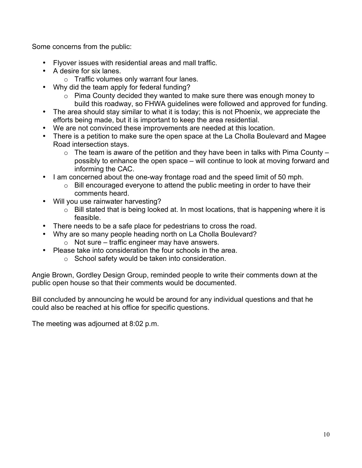Some concerns from the public:

- Flyover issues with residential areas and mall traffic.
- A desire for six lanes.
	- $\circ$  Traffic volumes only warrant four lanes.
- Why did the team apply for federal funding?
	- o Pima County decided they wanted to make sure there was enough money to build this roadway, so FHWA guidelines were followed and approved for funding.
- The area should stay similar to what it is today; this is not Phoenix, we appreciate the efforts being made, but it is important to keep the area residential.
- We are not convinced these improvements are needed at this location.
- There is a petition to make sure the open space at the La Cholla Boulevard and Magee Road intersection stays.
	- $\circ$  The team is aware of the petition and they have been in talks with Pima County possibly to enhance the open space – will continue to look at moving forward and informing the CAC.
- I am concerned about the one-way frontage road and the speed limit of 50 mph.
	- o Bill encouraged everyone to attend the public meeting in order to have their comments heard.
- Will you use rainwater harvesting?
	- $\circ$  Bill stated that is being looked at. In most locations, that is happening where it is feasible.
- There needs to be a safe place for pedestrians to cross the road.
- Why are so many people heading north on La Cholla Boulevard?  $\circ$  Not sure – traffic engineer may have answers.
	-
- Please take into consideration the four schools in the area.
	- o School safety would be taken into consideration.

Angie Brown, Gordley Design Group, reminded people to write their comments down at the public open house so that their comments would be documented.

Bill concluded by announcing he would be around for any individual questions and that he could also be reached at his office for specific questions.

The meeting was adjourned at 8:02 p.m.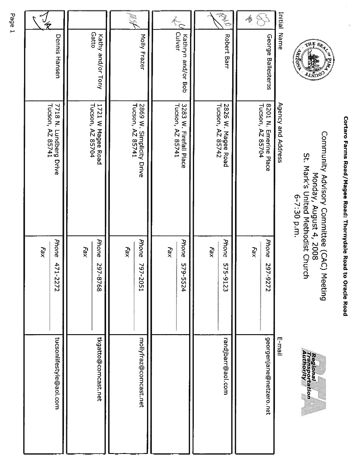| I                                                      |
|--------------------------------------------------------|
|                                                        |
|                                                        |
|                                                        |
|                                                        |
| ı                                                      |
|                                                        |
|                                                        |
| $\frac{1}{2}$                                          |
| ī                                                      |
|                                                        |
|                                                        |
| うちあげ しょうしょう                                            |
|                                                        |
|                                                        |
|                                                        |
|                                                        |
| ı                                                      |
|                                                        |
|                                                        |
|                                                        |
| ļ                                                      |
|                                                        |
|                                                        |
|                                                        |
|                                                        |
|                                                        |
| ı                                                      |
|                                                        |
|                                                        |
|                                                        |
|                                                        |
|                                                        |
|                                                        |
|                                                        |
|                                                        |
|                                                        |
|                                                        |
| hooy and ho no hon and hon in in thooy and and hon you |



Community Advisory Committee (CAC) Meeting<br>Monday, August 4, 2008<br>St. Mark's United Methodist Church<br>6-7:30 p.m.



|                                            |                                                 |                                              |                                            | 亳                                      | 4                                         | Initial Name       |
|--------------------------------------------|-------------------------------------------------|----------------------------------------------|--------------------------------------------|----------------------------------------|-------------------------------------------|--------------------|
| Dennis<br>Hansen                           | Gatto<br>Kathy and/or Tony                      | Molly Frazer                                 | Culver<br>Kathryn and/or Bob               | <b>Robert Barr</b>                     | George Ballesteros                        |                    |
| 7718 N. Lundberg Drive<br>Tucson, AZ 85741 | 1721 W Magee Road<br>Tucson, AZ 85704           | Tucson, AZ 85741<br>2869 W. Simplicity Drive | 3283 W. Firefall Place<br>Tucson, AZ 85741 | 2826 W. Magee Road<br>Tucson, AZ 85742 | 8201 N. Emerine Place<br>Tucson, AZ 85704 | Agency and Address |
| Phone<br>Fax<br>47<br>1-2272               | <b>Phone</b><br>Fax<br>$\overline{6}$<br>7-8768 | Phone<br>Fax<br>797-2051                     | <b>Phone</b><br>Fax<br>579-5524            | Phone<br>$F_{\partial X}$<br>575-9123  | Phone<br>$F_{\partial X}$<br>297-9272     |                    |
| tucsonlifestyle@aol.com                    | tkgatto@comcast.net                             | mollyfraz@comcast.net                        |                                            | randjbarr@aol.com                      | georgenjane@netzero.net                   | E-mail             |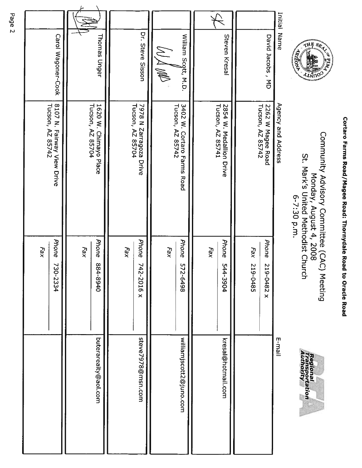| ì              |
|----------------|
|                |
|                |
|                |
|                |
| Ī              |
| <br> <br> <br> |
|                |
|                |
| J              |
|                |
|                |
| Ì              |
| ļ              |
|                |
|                |
| ī              |
|                |
|                |
|                |
| ļ              |
|                |
|                |
|                |
|                |
|                |
|                |
|                |
|                |
|                |
|                |
| I.             |
|                |
|                |
| י              |
|                |
|                |
| ì              |



Community Advisory Committee (CAC) Meeting<br>Monday, August 4, 2008<br>St. Mark's United Methodist Church<br>6-7:30 p.m.



| Initial Name        | Agency and Address                             |                                     | E-mail                  |
|---------------------|------------------------------------------------|-------------------------------------|-------------------------|
| David Jacobs, MD    | 2262 W Magee Road<br>Tucson, AZ 85742          | Phone<br>219-0482 x                 |                         |
|                     |                                                | Fax<br>219-0485                     |                         |
|                     |                                                |                                     |                         |
| Steven Kresal       | 2854 W. Medallion Drive<br>Tucson, AZ 85741    | Phone<br>544-3904                   | kresal@hottnail.com     |
|                     |                                                | Fax                                 |                         |
|                     |                                                |                                     |                         |
| William Scott, M.D. | 3402 W. Cortaro Farms Road<br>Tucson, AZ 85742 | Phone<br>572-6498                   | williamjscott2@juno.com |
|                     |                                                | Fax                                 |                         |
| Dr. Steve Sisson    | 7978 N Zarragoza Drive<br>Tucson, AZ 85704     | Phone<br>74<br>2-2016 x             | steve7978@msn.com       |
|                     |                                                | Fax                                 |                         |
| <b>Thomas Unger</b> | Tucson, AZ 85704<br>1620 W. Chimayo Place      | <b>Phone</b><br>04-8940             | buterarealty@aol.com    |
|                     |                                                | Fax                                 |                         |
| Carol Wagoner-Cook  | 8107 N. Fairway View Drive<br>Tucson, AZ 85742 | Phone<br>$\tilde{\omega}$<br>0-2334 |                         |
|                     |                                                | $F_{\partial X}$                    |                         |
|                     |                                                |                                     |                         |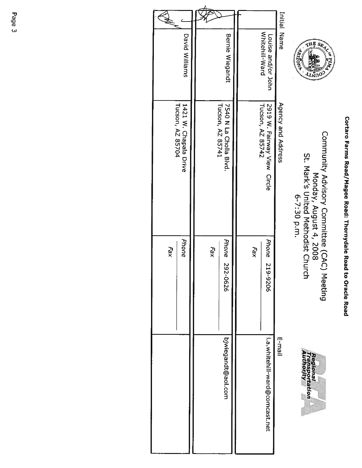# Cortaro Farms Road/Magee Road: Thornydale Road to Oracle Road



Community Advisory Committee (CAC) Meeting<br>Monday, August 4, 2008<br>St. Mark's United Methodist Church<br>6-7:30 p.m.



| Initial Name                         | Agency and Address                         |                | E-mail                          |
|--------------------------------------|--------------------------------------------|----------------|---------------------------------|
| Whitehill-Ward<br>Louise and/or John | 2919 W. Fairway View Circle                | Phone 219-9206 | l.a.whitehill-ward@conncast.net |
|                                      | Tucson, AZ 85742                           | Fax            |                                 |
|                                      |                                            |                |                                 |
| Bernie Wiegandt                      | Tucson, AZ 85741<br>7540 N La Cholla Blvd. | Phone 292-0626 | bjwiegandt@aol.com              |
|                                      |                                            | <b>Fax</b>     |                                 |
|                                      |                                            |                |                                 |
| David Williams                       | 1421 W. Chapala Drive<br>Tucson, AZ 85704  | Phone          |                                 |
|                                      |                                            | Fax            |                                 |
|                                      |                                            |                |                                 |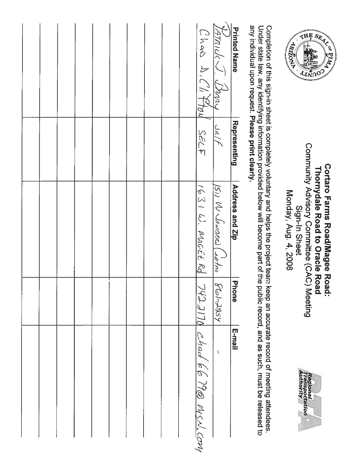| any individual upon request. Please print clearly. |                     | Under state law, any identifying information provided below will become part of the |           | public record, and as such, must be released to |
|----------------------------------------------------|---------------------|-------------------------------------------------------------------------------------|-----------|-------------------------------------------------|
| <b>Printed Name</b>                                | <b>Representing</b> | Address and Zip                                                                     | 고<br>hone | E-mail                                          |
| Varanche Chary                                     |                     | $\frac{151}{121}$ U Senoses (10/20/2010)                                            |           | $\mathbf{1}$                                    |
| UNIVILLE CAPPEL USIT                               |                     |                                                                                     |           | 1631 W. WAGEE Rd 7422110 Chach 66 190 WSN.Com   |
|                                                    |                     |                                                                                     |           |                                                 |
|                                                    |                     |                                                                                     |           |                                                 |
|                                                    |                     |                                                                                     |           |                                                 |
|                                                    |                     |                                                                                     |           |                                                 |
|                                                    |                     |                                                                                     |           |                                                 |
|                                                    |                     |                                                                                     |           |                                                 |
|                                                    |                     |                                                                                     |           |                                                 |
|                                                    |                     |                                                                                     |           |                                                 |
|                                                    |                     |                                                                                     |           |                                                 |
|                                                    |                     |                                                                                     |           |                                                 |







Monday, Aug. 4, 2008 Sign-In Sheet

Completion of this sign-in sheet is completely voluntary and helps the project team keep an accurate record of meeting attendees.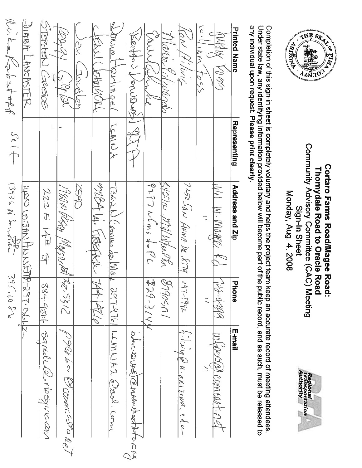

Community Advisory Committee (CAC) Meeting **Cortaro Farms Road/Magee Road:** Thornydale Road to Oracle Road Monday, Aug. 4, 2008 Sign-In Sheet



any individual upon request. Please print clearly. Under state law, any identifying information provided below will become part of the public record, and as such, must be released to Completion of this sign-in sheet is completely voluntary and helps the project team keep an accurate record of meeting attendees.

| <b>Printed Name</b>   | Representing                                                                                                                                                                                                                                                                                                                                                                | Address and Zip                 | <b>Phone</b> | E-mail                                                           |
|-----------------------|-----------------------------------------------------------------------------------------------------------------------------------------------------------------------------------------------------------------------------------------------------------------------------------------------------------------------------------------------------------------------------|---------------------------------|--------------|------------------------------------------------------------------|
| COR START             |                                                                                                                                                                                                                                                                                                                                                                             | 1461 W. Mage Kd                 | 47 YYSYA     | Wronge) comeart net.                                             |
| $1.1001$ / $1.0001$   |                                                                                                                                                                                                                                                                                                                                                                             |                                 |              |                                                                  |
| Row Pilivic           |                                                                                                                                                                                                                                                                                                                                                                             | 7250 San ANNA DR. 87704         | $247-5442$   | $\frac{1}{h_1! \omega\cup\phi }\rho\mu\cdot g\chi_1$ zouch. edu- |
| Marie Colutinals      |                                                                                                                                                                                                                                                                                                                                                                             | BIZTO MillWeeder                | B790SD1      |                                                                  |
| Carryachine           |                                                                                                                                                                                                                                                                                                                                                                             | $9271$ W (m) do PC              | 早29-314      |                                                                  |
| Retter Vercesser      |                                                                                                                                                                                                                                                                                                                                                                             |                                 |              | book was been to madinto a                                       |
| Dowalpertiment        | ACASCA                                                                                                                                                                                                                                                                                                                                                                      | T362N Commo da Mak              |              | 2977976 LCMLLX2 @ood.com                                         |
| KEAN (JOHNUMORL       |                                                                                                                                                                                                                                                                                                                                                                             | milest W. FIREFACIO 1744. PELLO |              |                                                                  |
| ber (Indeby           |                                                                                                                                                                                                                                                                                                                                                                             | 2540                            |              |                                                                  |
| leagy (sight          |                                                                                                                                                                                                                                                                                                                                                                             | 1980W Vitin Maysonth 142-5312   |              | $\sqrt{99}$ be a comeced a nel                                   |
| <b>STERNEN CAREDE</b> |                                                                                                                                                                                                                                                                                                                                                                             | 222514里                         |              | 384-9014 Saneder@orbsqine.com                                    |
| LUIRAR LIPACINTUM     |                                                                                                                                                                                                                                                                                                                                                                             | These washings of the 297-sept  |              |                                                                  |
| Mule Kabstoff         | $\begin{picture}(220,20) \put(0,0){\vector(1,0){10}} \put(15,0){\vector(1,0){10}} \put(15,0){\vector(1,0){10}} \put(15,0){\vector(1,0){10}} \put(15,0){\vector(1,0){10}} \put(15,0){\vector(1,0){10}} \put(15,0){\vector(1,0){10}} \put(15,0){\vector(1,0){10}} \put(15,0){\vector(1,0){10}} \put(15,0){\vector(1,0){10}} \put(15,0){\vector(1,0){10}} \put(15,0){\vector($ | 13936 N Sannola                 | 395.1082     |                                                                  |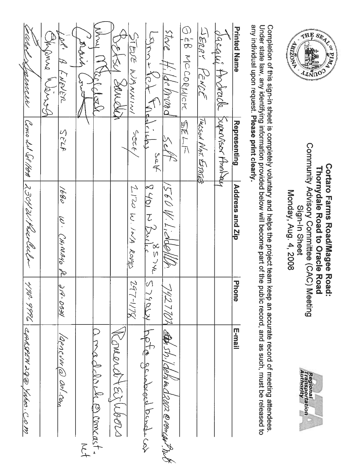

Community Advisory Committee (CAC) Meeting Cortaro Farms Road/Magee Road: Thornydale Road to Oracle Road Monday, Aug. 4, 2008 Sign-In Sheet



any individual upon request. Please print clearly. Under state law, any identifying information provided below will become part of the public record, and as such, must be released to Completion of this sign-in sheet is completely voluntary and helps the project team keep an accurate record of meeting attendees.

| Lamer                                | Bishing Marian | DR' A ENEVER        | alsch<br>ر<br>ڊ     | Ş<br>bel del         | KAPMAR 1          | STEUE NAWNINI     | strated the                             | stare Hildemond                     | GEB MCCORNICK | SERRY PENCE         |                                | <b>Printed Name</b> |
|--------------------------------------|----------------|---------------------|---------------------|----------------------|-------------------|-------------------|-----------------------------------------|-------------------------------------|---------------|---------------------|--------------------------------|---------------------|
|                                      |                | SELF                |                     |                      |                   | SECE,             | $\frac{1}{2}$ ok                        |                                     | <b>BELLE</b>  | TACSON NAT. ESTATES | dacqui thrende function Annhau | Representing        |
| Come at Sol 144 230421. Pacer Ceeler |                | 1680<br>W. CHIMALO  |                     |                      |                   | I-120 W. 1NA ROAD | $\frac{8401}{2401}$ W $\frac{351}{240}$ | IS60 W. Liddell.                    |               |                     |                                | Address and Zip     |
|                                      |                | <b>کادی - ۲۹۰</b> ه |                     |                      |                   | $342 - 177$       | $K\sqrt{4662}$                          |                                     |               |                     |                                | D<br>Hone           |
| 499-9996 cynsee 11290 phos. C.0 m    |                | /aencina w/can      | $\widetilde{\zeta}$ | a madelonie concest. | Romanch Eirlubors |                   | Lptd problems bush cos                  | 7427709 Ap 5/2/debind2002@cmcar.put |               |                     |                                | E-mail              |